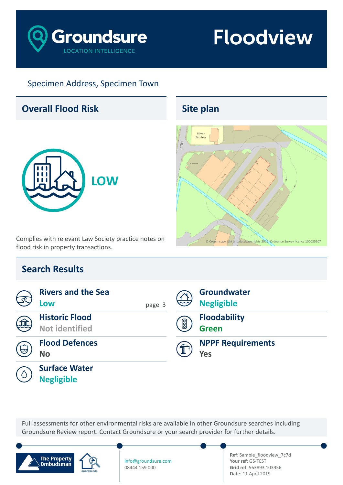

### Specimen Address, Specimen Town

### **Overall Flood Risk**



Complies with relevant Law Society practice notes on flood risk in property transactions.

## **Search Results**

|      | <b>Rivers and the Sea</b><br>Low               | page 3 |             | Groundwater<br><b>Negligible</b>       |
|------|------------------------------------------------|--------|-------------|----------------------------------------|
| 痂    | <b>Historic Flood</b><br><b>Not identified</b> |        | $\boxed{0}$ | <b>Floodability</b><br><b>Green</b>    |
| رستا | <b>Flood Defences</b><br><b>No</b>             |        | 金           | <b>NPPF Requirements</b><br><b>Yes</b> |
|      | <b>Surface Water</b><br><b>Negligible</b>      |        |             |                                        |

Full assessments for other environmental risks are available in other Groundsure searches including Groundsure Review report. Contact Groundsure or your search provider for further details.



info@groundsure.com 08444 159 000

**Ref**: Sample\_floodview\_7c7d **Your ref**: GS-TEST **Grid ref**: 563893 103956 **Date**: 11 April 2019

## **Site plan**

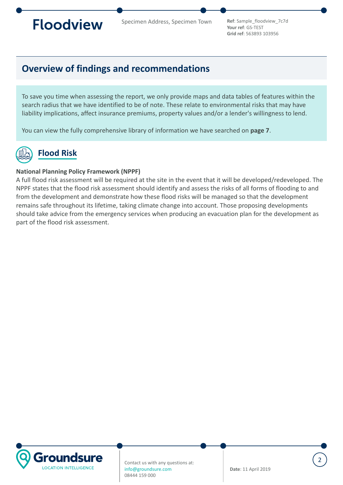<span id="page-1-0"></span>

**Your ref**: GS-TEST **Grid ref**: 563893 103956

### **Overview of findings and recommendations**

To save you time when assessing the report, we only provide maps and data tables of features within the search radius that we have identified to be of note. These relate to environmental risks that may have liability implications, affect insurance premiums, property values and/or a lender's willingness to lend.

You can view the fully comprehensive library of information we have searched on **[page 7](#page-6-0)**.

## **Flood Risk**

### **National Planning Policy Framework (NPPF)**

A full flood risk assessment will be required at the site in the event that it will be developed/redeveloped. The NPPF states that the flood risk assessment should identify and assess the risks of all forms of flooding to and from the development and demonstrate how these flood risks will be managed so that the development remains safe throughout its lifetime, taking climate change into account. Those proposing developments should take advice from the emergency services when producing an evacuation plan for the development as part of the flood risk assessment.

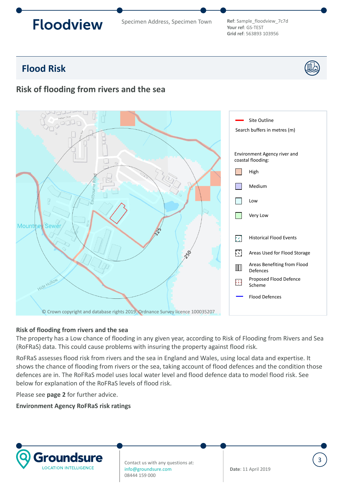Specimen Address, Specimen Town **Ref**: Sample\_floodview\_7c7d

**Your ref**: GS-TEST **Grid ref**: 563893 103956

## <span id="page-2-0"></span>**Flood Risk**

### **Risk of flooding from rivers and the sea**



#### **Risk of flooding from rivers and the sea**

The property has a Low chance of flooding in any given year, according to Risk of Flooding from Rivers and Sea (RoFRaS) data. This could cause problems with insuring the property against flood risk.

RoFRaS assesses flood risk from rivers and the sea in England and Wales, using local data and expertise. It shows the chance of flooding from rivers or the sea, taking account of flood defences and the condition those defences are in. The RoFRaS model uses local water level and flood defence data to model flood risk. See below for explanation of the RoFRaS levels of flood risk.

Please see **[page 2](#page-1-0)** for further advice.

#### **Environment Agency RoFRaS risk ratings**



Contact us with any questions at: info@groundsure.com 08444 159 000

**Date**: 11 April 2019

3

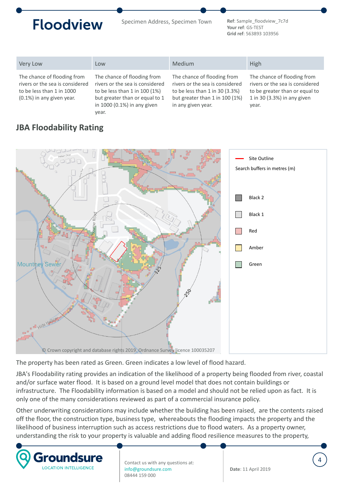Specimen Address, Specimen Town **Ref**: Sample\_floodview\_7c7d

**Your ref**: GS-TEST **Grid ref**: 563893 103956

4

| Very Low                                                                                                                    | Low                                                                                                                                                                           | <b>Medium</b>                                                                                                                                            | High                                                                                                                                     |
|-----------------------------------------------------------------------------------------------------------------------------|-------------------------------------------------------------------------------------------------------------------------------------------------------------------------------|----------------------------------------------------------------------------------------------------------------------------------------------------------|------------------------------------------------------------------------------------------------------------------------------------------|
| The chance of flooding from<br>rivers or the sea is considered<br>to be less than 1 in 1000<br>$(0.1\%)$ in any given year. | The chance of flooding from<br>rivers or the sea is considered<br>to be less than $1$ in $100(1\%)$<br>but greater than or equal to 1<br>in 1000 (0.1%) in any given<br>year. | The chance of flooding from<br>rivers or the sea is considered<br>to be less than 1 in 30 (3.3%)<br>but greater than 1 in 100 (1%)<br>in any given year. | The chance of flooding from<br>rivers or the sea is considered<br>to be greater than or equal to<br>1 in 30 (3.3%) in any given<br>year. |

### **JBA Floodability Rating**



The property has been rated as Green. Green indicates a low level of flood hazard.

JBA's Floodability rating provides an indication of the likelihood of a property being flooded from river, coastal and/or surface water flood. It is based on a ground level model that does not contain buildings or infrastructure. The Floodability information is based on a model and should not be relied upon as fact. It is only one of the many considerations reviewed as part of a commercial insurance policy.

Other underwriting considerations may include whether the building has been raised, are the contents raised off the floor, the construction type, business type, whereabouts the flooding impacts the property and the likelihood of business interruption such as access restrictions due to flood waters. As a property owner, understanding the risk to your property is valuable and adding flood resilience measures to the property,

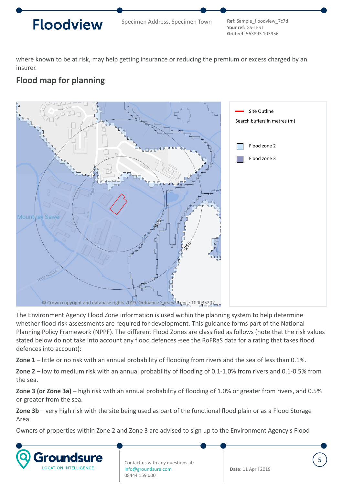

**Your ref**: GS-TEST **Grid ref**: 563893 103956

5

where known to be at risk, may help getting insurance or reducing the premium or excess charged by an insurer.

### **Flood map for planning**



The Environment Agency Flood Zone information is used within the planning system to help determine whether flood risk assessments are required for development. This guidance forms part of the National Planning Policy Framework (NPPF). The different Flood Zones are classified as follows (note that the risk values stated below do not take into account any flood defences -see the RoFRaS data for a rating that takes flood defences into account):

**Zone 1** – little or no risk with an annual probability of flooding from rivers and the sea of less than 0.1%.

**Zone 2** – low to medium risk with an annual probability of flooding of 0.1-1.0% from rivers and 0.1-0.5% from the sea.

**Zone 3 (or Zone 3a)** – high risk with an annual probability of flooding of 1.0% or greater from rivers, and 0.5% or greater from the sea.

**Zone 3b** – very high risk with the site being used as part of the functional flood plain or as a Flood Storage Area.

Owners of properties within Zone 2 and Zone 3 are advised to sign up to the Environment Agency's Flood

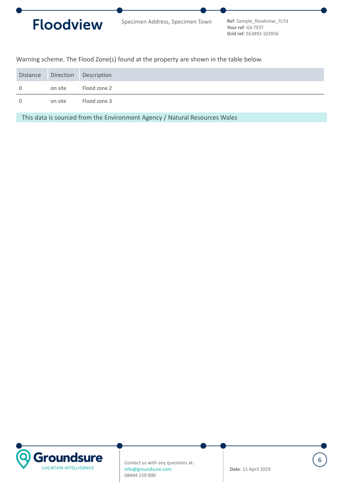

**Your ref**: GS-TEST **Grid ref**: 563893 103956

Warning scheme. The Flood Zone(s) found at the property are shown in the table below.

|              |         | Distance Direction Description |
|--------------|---------|--------------------------------|
| $\mathbf{0}$ | on site | Flood zone 2                   |
| $\Omega$     | on site | Flood zone 3                   |

This data is sourced from the Environment Agency / Natural Resources Wales

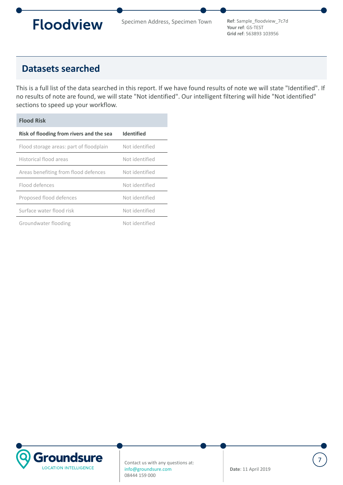<span id="page-6-0"></span>

**Your ref**: GS-TEST **Grid ref**: 563893 103956

### **Datasets searched**

This is a full list of the data searched in this report. If we have found results of note we will state "Identified". If no results of note are found, we will state "Not identified". Our intelligent filtering will hide "Not identified" sections to speed up your workflow.

| <b>Flood Risk</b>                        |                   |  |  |  |  |
|------------------------------------------|-------------------|--|--|--|--|
| Risk of flooding from rivers and the sea | <b>Identified</b> |  |  |  |  |
| Flood storage areas: part of floodplain  | Not identified    |  |  |  |  |
| Historical flood areas                   | Not identified    |  |  |  |  |
| Areas benefiting from flood defences     | Not identified    |  |  |  |  |
| Flood defences                           | Not identified    |  |  |  |  |
| Proposed flood defences                  | Not identified    |  |  |  |  |
| Surface water flood risk                 | Not identified    |  |  |  |  |
| Groundwater flooding                     | Not identified    |  |  |  |  |

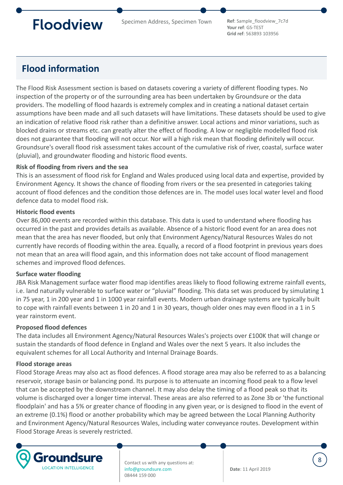Specimen Address, Specimen Town **Ref**: Sample\_floodview\_7c7d

**Your ref**: GS-TEST **Grid ref**: 563893 103956

## **Flood information**

The Flood Risk Assessment section is based on datasets covering a variety of different flooding types. No inspection of the property or of the surrounding area has been undertaken by Groundsure or the data providers. The modelling of flood hazards is extremely complex and in creating a national dataset certain assumptions have been made and all such datasets will have limitations. These datasets should be used to give an indication of relative flood risk rather than a definitive answer. Local actions and minor variations, such as blocked drains or streams etc. can greatly alter the effect of flooding. A low or negligible modelled flood risk does not guarantee that flooding will not occur. Nor will a high risk mean that flooding definitely will occur. Groundsure's overall flood risk assessment takes account of the cumulative risk of river, coastal, surface water (pluvial), and groundwater flooding and historic flood events.

### **Risk of flooding from rivers and the sea**

This is an assessment of flood risk for England and Wales produced using local data and expertise, provided by Environment Agency. It shows the chance of flooding from rivers or the sea presented in categories taking account of flood defences and the condition those defences are in. The model uses local water level and flood defence data to model flood risk.

#### **Historic flood events**

Over 86,000 events are recorded within this database. This data is used to understand where flooding has occurred in the past and provides details as available. Absence of a historic flood event for an area does not mean that the area has never flooded, but only that Environment Agency/Natural Resources Wales do not currently have records of flooding within the area. Equally, a record of a flood footprint in previous years does not mean that an area will flood again, and this information does not take account of flood management schemes and improved flood defences.

#### **Surface water flooding**

JBA Risk Management surface water flood map identifies areas likely to flood following extreme rainfall events, i.e. land naturally vulnerable to surface water or "pluvial" flooding. This data set was produced by simulating 1 in 75 year, 1 in 200 year and 1 in 1000 year rainfall events. Modern urban drainage systems are typically built to cope with rainfall events between 1 in 20 and 1 in 30 years, though older ones may even flood in a 1 in 5 year rainstorm event.

### **Proposed flood defences**

The data includes all Environment Agency/Natural Resources Wales's projects over £100K that will change or sustain the standards of flood defence in England and Wales over the next 5 years. It also includes the equivalent schemes for all Local Authority and Internal Drainage Boards.

#### **Flood storage areas**

Flood Storage Areas may also act as flood defences. A flood storage area may also be referred to as a balancing reservoir, storage basin or balancing pond. Its purpose is to attenuate an incoming flood peak to a flow level that can be accepted by the downstream channel. It may also delay the timing of a flood peak so that its volume is discharged over a longer time interval. These areas are also referred to as Zone 3b or 'the functional floodplain' and has a 5% or greater chance of flooding in any given year, or is designed to flood in the event of an extreme (0.1%) flood or another probability which may be agreed between the Local Planning Authority and Environment Agency/Natural Resources Wales, including water conveyance routes. Development within Flood Storage Areas is severely restricted.



Contact us with any questions at: info@groundsure.com 08444 159 000

**Date**: 11 April 2019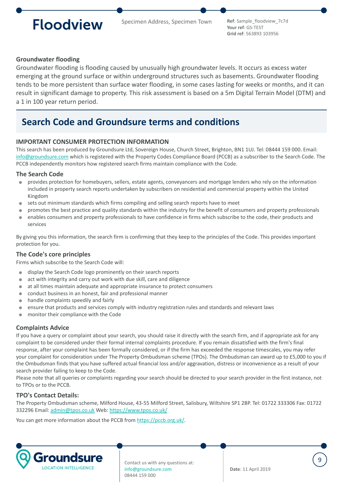Specimen Address, Specimen Town **Ref**: Sample\_floodview\_7c7d

**Your ref**: GS-TEST **Grid ref**: 563893 103956

#### **Groundwater flooding**

Groundwater flooding is flooding caused by unusually high groundwater levels. It occurs as excess water emerging at the ground surface or within underground structures such as basements. Groundwater flooding tends to be more persistent than surface water flooding, in some cases lasting for weeks or months, and it can result in significant damage to property. This risk assessment is based on a 5m Digital Terrain Model (DTM) and a 1 in 100 year return period.

### **Search Code and Groundsure terms and conditions**

#### **IMPORTANT CONSUMER PROTECTION INFORMATION**

This search has been produced by Groundsure Ltd, Sovereign House, Church Street, Brighton, BN1 1UJ. Tel: 08444 159 000. Email: [info@groundsure.com](mailto:info@groundsure.com) which is registered with the Property Codes Compliance Board (PCCB) as a subscriber to the Search Code. The PCCB independently monitors how registered search firms maintain compliance with the Code.

#### **The Search Code**

- provides protection for homebuyers, sellers, estate agents, conveyancers and mortgage lenders who rely on the information included in property search reports undertaken by subscribers on residential and commercial property within the United Kingdom
- sets out minimum standards which firms compiling and selling search reports have to meet
- promotes the best practice and quality standards within the industry for the benefit of consumers and property professionals enables consumers and property professionals to have confidence in firms which subscribe to the code, their products and  $\blacksquare$
- services

By giving you this information, the search firm is confirming that they keep to the principles of the Code. This provides important protection for you.

#### **The Code's core principles**

Firms which subscribe to the Search Code will:

- display the Search Code logo prominently on their search reports  $\blacksquare$
- $\bullet$ act with integrity and carry out work with due skill, care and diligence
- at all times maintain adequate and appropriate insurance to protect consumers  $\qquad \qquad \blacksquare$
- conduct business in an honest, fair and professional manner  $\bullet$
- handle complaints speedily and fairly
- ensure that products and services comply with industry registration rules and standards and relevant laws  $\blacksquare$
- monitor their compliance with the Code

#### **Complaints Advice**

If you have a query or complaint about your search, you should raise it directly with the search firm, and if appropriate ask for any complaint to be considered under their formal internal complaints procedure. If you remain dissatisfied with the firm's final response, after your complaint has been formally considered, or if the firm has exceeded the response timescales, you may refer your complaint for consideration under The Property Ombudsman scheme (TPOs). The Ombudsman can award up to £5,000 to you if the Ombudsman finds that you have suffered actual financial loss and/or aggravation, distress or inconvenience as a result of your search provider failing to keep to the Code.

Please note that all queries or complaints regarding your search should be directed to your search provider in the first instance, not to TPOs or to the PCCB.

#### **TPO's Contact Details:**

The Property Ombudsman scheme, Milford House, 43-55 Milford Street, Salisbury, Wiltshire SP1 2BP. Tel: 01722 333306 Fax: 01722 332296 Email: [admin@tpos.co.uk](mailto:admin@tpos.co.uk) Web:<https://www.tpos.co.uk/>

You can get more information about the PCCB from [https://pccb.org.uk/.](https://pccb.org.uk/)